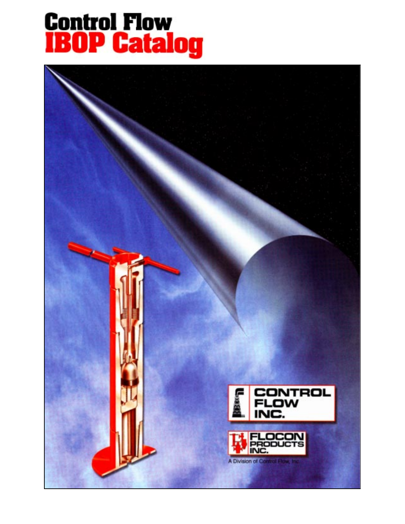# **Control Flow<br>IBOP Catalog**

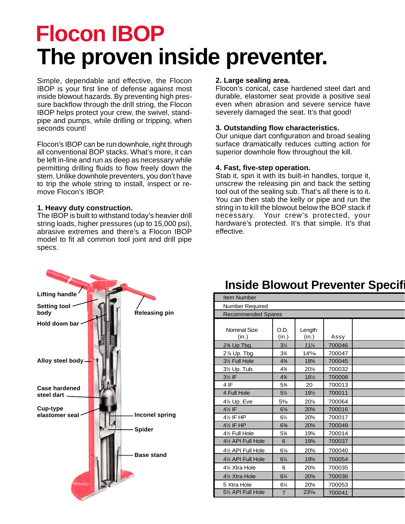# **Flocon IBOP The proven inside preventer.**

Simple, dependable and effective, the Flocon IBOP is your first line of defense against most inside blowout hazards. By preventing high pressure backflow through the drill string, the Flocon IBOP helps protect your crew, the swivel, standpipe and pumps, while drilling or tripping, when seconds count!

Flocon's IBOP can be run downhole, right through all conventional BOP stacks. What's more, it can be left in-line and run as deep as necessary while permitting drilling fluids to flow freely down the stem. Unlike downhole preventers, you don't have to trip the whole string to install, inspect or remove Flocon's IBOP.

#### **1. Heavy duty construction.**

The IBOP is built to withstand today's heavier drill string loads, higher pressures (up to 15,000 psi), abrasive extremes and there's a Flocon IBOP model to fit all common tool joint and drill pipe specs.

#### **2. Large sealing area.**

Flocon's conical, case hardened steel dart and durable, elastomer seat provide a positive seal even when abrasion and severe service have severely damaged the seat. It's that good!

#### **3. Outstanding flow characteristics.**

Our unique dart configuration and broad sealing surface dramatically reduces cutting action for superior downhole flow throughout the kill.

#### **4. Fast, five-step operation.**

Stab it, spin it with its built-in handles, torque it, unscrew the releasing pin and back the setting tool out of the sealing sub. That's all there is to it. You can then stab the kelly or pipe and run the string in to kill the blowout below the BOP stack if necessary. Your crew's protected, your hardware's protected. It's that simple. It's that effective.



# **Inside Blowout Preventer Specifi**

| <b>Item Number</b>                  |                |                      |        |  |  |  |  |  |  |  |
|-------------------------------------|----------------|----------------------|--------|--|--|--|--|--|--|--|
| Number Required                     |                |                      |        |  |  |  |  |  |  |  |
| <b>Recommended Spares</b>           |                |                      |        |  |  |  |  |  |  |  |
| <b>Nominal Size</b><br>(in.)        | O.D.<br>(in.)  | Length<br>(in.)      | Assy   |  |  |  |  |  |  |  |
| 2% Up. Tbg.                         | $3\frac{1}{4}$ | $11\frac{1}{4}$      | 700046 |  |  |  |  |  |  |  |
| 2% Up. Tbg.                         | 3%             | 14 <sup>15</sup> /16 | 700047 |  |  |  |  |  |  |  |
| 3½ Full Hole                        | 4%             | 18%                  | 700045 |  |  |  |  |  |  |  |
| 3½ Up. Tub.                         | 4%             | 20%                  | 700032 |  |  |  |  |  |  |  |
| $3\frac{1}{2}$ IF                   | 4%             | $18\frac{1}{2}$      | 700008 |  |  |  |  |  |  |  |
| 4 IF                                | 5%             | 20                   | 700013 |  |  |  |  |  |  |  |
| 4 Full Hole                         | $5\frac{1}{4}$ | 19½                  | 700011 |  |  |  |  |  |  |  |
| 4½ Up. Eve                          | $5\%$          | 20%                  | 700064 |  |  |  |  |  |  |  |
| 4½ IF                               | $6\frac{1}{8}$ | 20%                  | 700016 |  |  |  |  |  |  |  |
| 4½ IF HP                            | 61⁄4           | 20%                  | 700017 |  |  |  |  |  |  |  |
| 4 <sup>1</sup> / <sub>2</sub> IF HP | 6%             | 20%                  | 700049 |  |  |  |  |  |  |  |
| 4½ Full Hole                        | 5%             | 19%                  | 700014 |  |  |  |  |  |  |  |
| 4½ API Full Hole                    | 6              | 19%                  | 700037 |  |  |  |  |  |  |  |
| 4½ API Full Hole                    | $6\frac{1}{8}$ | 20%                  | 700040 |  |  |  |  |  |  |  |
| 4½ API Full Hole                    | $6\frac{1}{4}$ | 19%                  | 700054 |  |  |  |  |  |  |  |
| 4½ Xtra Hole                        | 6              | 20%                  | 700035 |  |  |  |  |  |  |  |
| 4½ Xtra Hole                        | 61/4           | 20%                  | 700036 |  |  |  |  |  |  |  |
| 5 Xtra Hole                         | 61⁄4           | 20%                  | 700053 |  |  |  |  |  |  |  |
| 51/2 API Full Hole                  | $\overline{7}$ | 23%                  | 700041 |  |  |  |  |  |  |  |